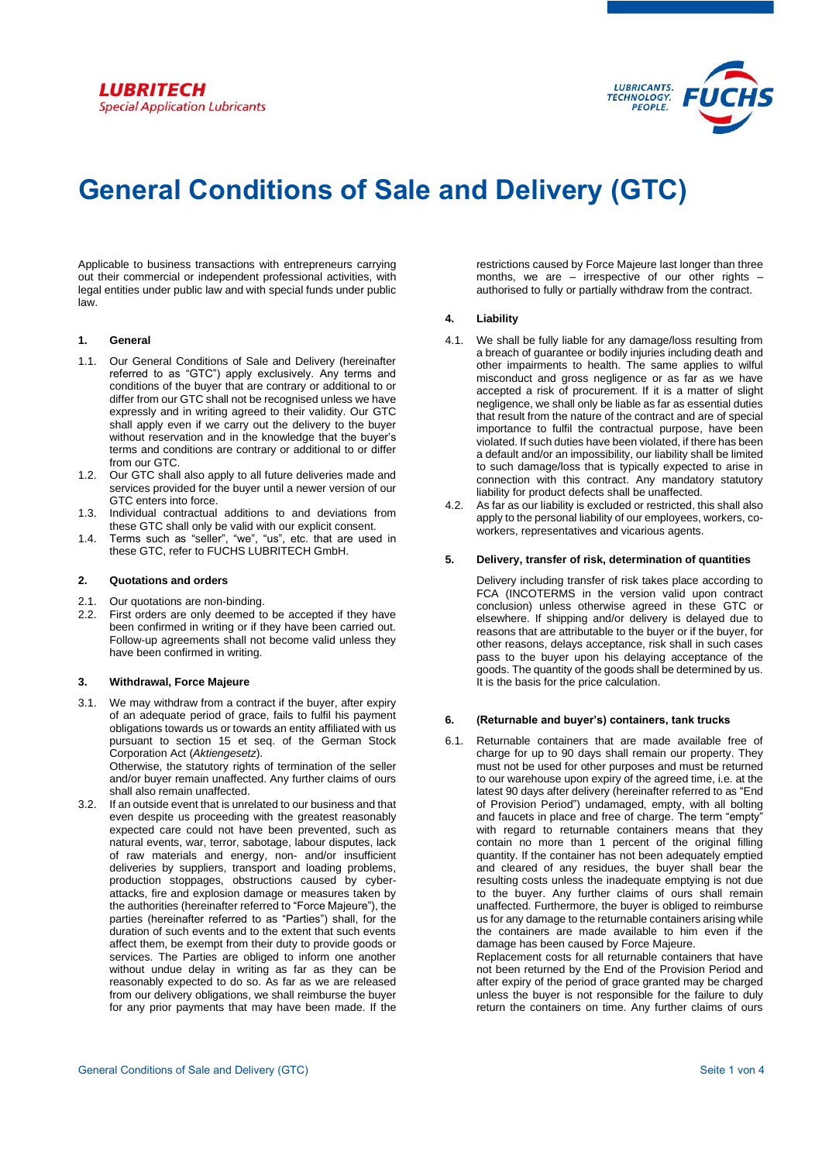

# **General Conditions of Sale and Delivery (GTC)**

Applicable to business transactions with entrepreneurs carrying out their commercial or independent professional activities, with legal entities under public law and with special funds under public law.

#### **1. General**

- 1.1. Our General Conditions of Sale and Delivery (hereinafter referred to as "GTC") apply exclusively. Any terms and conditions of the buyer that are contrary or additional to or differ from our GTC shall not be recognised unless we have expressly and in writing agreed to their validity. Our GTC shall apply even if we carry out the delivery to the buyer without reservation and in the knowledge that the buyer's terms and conditions are contrary or additional to or differ from our GTC.
- 1.2. Our GTC shall also apply to all future deliveries made and services provided for the buyer until a newer version of our GTC enters into force.
- 1.3. Individual contractual additions to and deviations from these GTC shall only be valid with our explicit consent.
- 1.4. Terms such as "seller", "we", "us", etc. that are used in these GTC, refer to FUCHS LUBRITECH GmbH.

### **2. Quotations and orders**

- 2.1. Our quotations are non-binding.
- 2.2. First orders are only deemed to be accepted if they have been confirmed in writing or if they have been carried out. Follow-up agreements shall not become valid unless they have been confirmed in writing.

#### **3. Withdrawal, Force Majeure**

3.1. We may withdraw from a contract if the buyer, after expiry of an adequate period of grace, fails to fulfil his payment obligations towards us or towards an entity affiliated with us pursuant to section 15 et seq. of the German Stock Corporation Act (*Aktiengesetz*). Otherwise, the statutory rights of termination of the seller

and/or buyer remain unaffected. Any further claims of ours shall also remain unaffected.

3.2. If an outside event that is unrelated to our business and that even despite us proceeding with the greatest reasonably expected care could not have been prevented, such as natural events, war, terror, sabotage, labour disputes, lack of raw materials and energy, non- and/or insufficient deliveries by suppliers, transport and loading problems, production stoppages, obstructions caused by cyberattacks, fire and explosion damage or measures taken by the authorities (hereinafter referred to "Force Majeure"), the parties (hereinafter referred to as "Parties") shall, for the duration of such events and to the extent that such events affect them, be exempt from their duty to provide goods or services. The Parties are obliged to inform one another without undue delay in writing as far as they can be reasonably expected to do so. As far as we are released from our delivery obligations, we shall reimburse the buyer for any prior payments that may have been made. If the restrictions caused by Force Majeure last longer than three months, we are  $-$  irrespective of our other rights authorised to fully or partially withdraw from the contract.

# **4. Liability**

- 4.1. We shall be fully liable for any damage/loss resulting from a breach of guarantee or bodily injuries including death and other impairments to health. The same applies to wilful misconduct and gross negligence or as far as we have accepted a risk of procurement. If it is a matter of slight negligence, we shall only be liable as far as essential duties that result from the nature of the contract and are of special importance to fulfil the contractual purpose, have been violated. If such duties have been violated, if there has been a default and/or an impossibility, our liability shall be limited to such damage/loss that is typically expected to arise in connection with this contract. Any mandatory statutory liability for product defects shall be unaffected.
- 4.2. As far as our liability is excluded or restricted, this shall also apply to the personal liability of our employees, workers, coworkers, representatives and vicarious agents.

#### **5. Delivery, transfer of risk, determination of quantities**

Delivery including transfer of risk takes place according to FCA (INCOTERMS in the version valid upon contract conclusion) unless otherwise agreed in these GTC or elsewhere. If shipping and/or delivery is delayed due to reasons that are attributable to the buyer or if the buyer, for other reasons, delays acceptance, risk shall in such cases pass to the buyer upon his delaying acceptance of the goods. The quantity of the goods shall be determined by us. It is the basis for the price calculation.

#### **6. (Returnable and buyer's) containers, tank trucks**

6.1. Returnable containers that are made available free of charge for up to 90 days shall remain our property. They must not be used for other purposes and must be returned to our warehouse upon expiry of the agreed time, i.e. at the latest 90 days after delivery (hereinafter referred to as "End of Provision Period") undamaged, empty, with all bolting and faucets in place and free of charge. The term "empty" with regard to returnable containers means that they contain no more than 1 percent of the original filling quantity. If the container has not been adequately emptied and cleared of any residues, the buyer shall bear the resulting costs unless the inadequate emptying is not due to the buyer. Any further claims of ours shall remain unaffected. Furthermore, the buyer is obliged to reimburse us for any damage to the returnable containers arising while the containers are made available to him even if the damage has been caused by Force Majeure.

Replacement costs for all returnable containers that have not been returned by the End of the Provision Period and after expiry of the period of grace granted may be charged unless the buyer is not responsible for the failure to duly return the containers on time. Any further claims of ours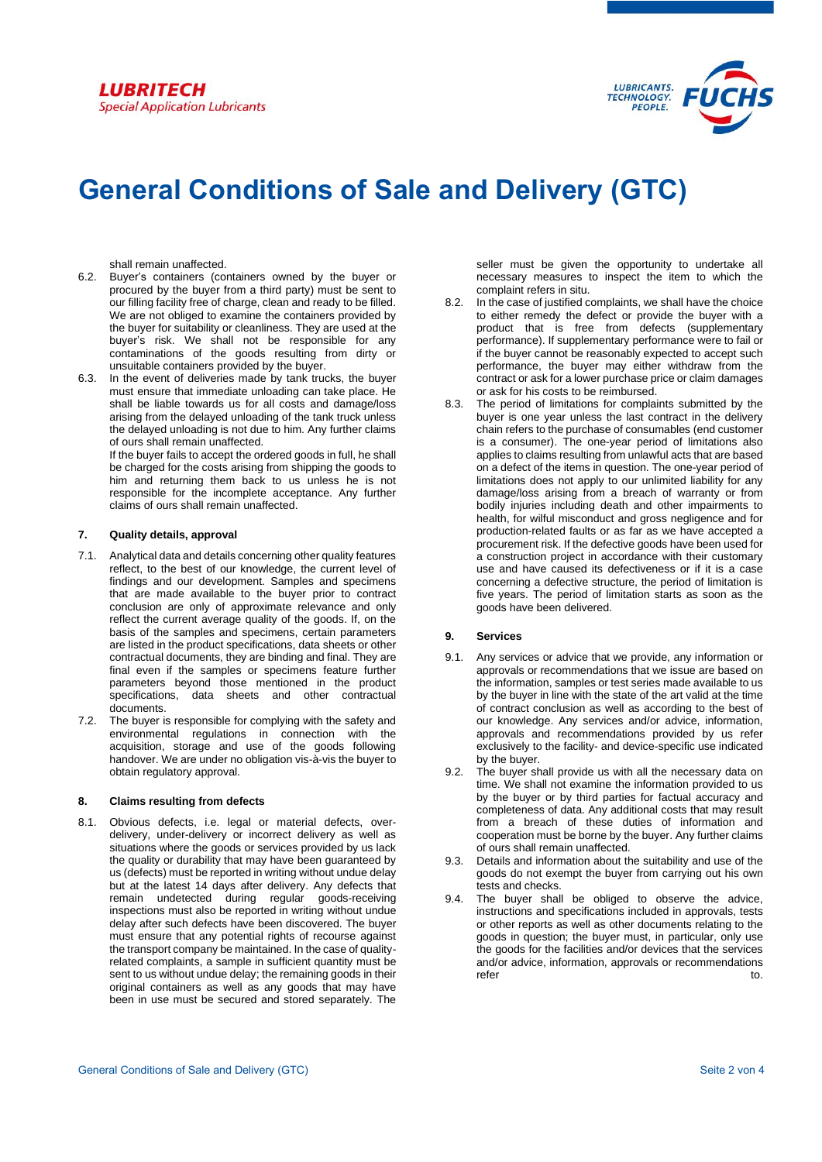

# **General Conditions of Sale and Delivery (GTC)**

shall remain unaffected.

- 6.2. Buyer's containers (containers owned by the buyer or procured by the buyer from a third party) must be sent to our filling facility free of charge, clean and ready to be filled. We are not obliged to examine the containers provided by the buyer for suitability or cleanliness. They are used at the buyer's risk. We shall not be responsible for any contaminations of the goods resulting from dirty or unsuitable containers provided by the buyer.
- 6.3. In the event of deliveries made by tank trucks, the buyer must ensure that immediate unloading can take place. He shall be liable towards us for all costs and damage/loss arising from the delayed unloading of the tank truck unless the delayed unloading is not due to him. Any further claims of ours shall remain unaffected.

If the buyer fails to accept the ordered goods in full, he shall be charged for the costs arising from shipping the goods to him and returning them back to us unless he is not responsible for the incomplete acceptance. Any further claims of ours shall remain unaffected.

# **7. Quality details, approval**

- 7.1. Analytical data and details concerning other quality features reflect, to the best of our knowledge, the current level of findings and our development. Samples and specimens that are made available to the buyer prior to contract conclusion are only of approximate relevance and only reflect the current average quality of the goods. If, on the basis of the samples and specimens, certain parameters are listed in the product specifications, data sheets or other contractual documents, they are binding and final. They are final even if the samples or specimens feature further parameters beyond those mentioned in the product specifications, data sheets and other contractual documents.
- 7.2. The buyer is responsible for complying with the safety and environmental regulations in connection with the acquisition, storage and use of the goods following handover. We are under no obligation vis-à-vis the buyer to obtain regulatory approval.

# **8. Claims resulting from defects**

8.1. Obvious defects, i.e. legal or material defects, overdelivery, under-delivery or incorrect delivery as well as situations where the goods or services provided by us lack the quality or durability that may have been guaranteed by us (defects) must be reported in writing without undue delay but at the latest 14 days after delivery. Any defects that remain undetected during regular goods-receiving inspections must also be reported in writing without undue delay after such defects have been discovered. The buyer must ensure that any potential rights of recourse against the transport company be maintained. In the case of qualityrelated complaints, a sample in sufficient quantity must be sent to us without undue delay; the remaining goods in their original containers as well as any goods that may have been in use must be secured and stored separately. The seller must be given the opportunity to undertake all necessary measures to inspect the item to which the complaint refers in situ.

- 8.2. In the case of justified complaints, we shall have the choice to either remedy the defect or provide the buyer with a product that is free from defects (supplementary performance). If supplementary performance were to fail or if the buyer cannot be reasonably expected to accept such performance, the buyer may either withdraw from the contract or ask for a lower purchase price or claim damages or ask for his costs to be reimbursed.
- 8.3. The period of limitations for complaints submitted by the buyer is one year unless the last contract in the delivery chain refers to the purchase of consumables (end customer is a consumer). The one-year period of limitations also applies to claims resulting from unlawful acts that are based on a defect of the items in question. The one-year period of limitations does not apply to our unlimited liability for any damage/loss arising from a breach of warranty or from bodily injuries including death and other impairments to health, for wilful misconduct and gross negligence and for production-related faults or as far as we have accepted a procurement risk. If the defective goods have been used for a construction project in accordance with their customary use and have caused its defectiveness or if it is a case concerning a defective structure, the period of limitation is five years. The period of limitation starts as soon as the goods have been delivered.

# **9. Services**

- 9.1. Any services or advice that we provide, any information or approvals or recommendations that we issue are based on the information, samples or test series made available to us by the buyer in line with the state of the art valid at the time of contract conclusion as well as according to the best of our knowledge. Any services and/or advice, information, approvals and recommendations provided by us refer exclusively to the facility- and device-specific use indicated by the buyer.
- 9.2. The buyer shall provide us with all the necessary data on time. We shall not examine the information provided to us by the buyer or by third parties for factual accuracy and completeness of data. Any additional costs that may result from a breach of these duties of information and cooperation must be borne by the buyer. Any further claims of ours shall remain unaffected.
- 9.3. Details and information about the suitability and use of the goods do not exempt the buyer from carrying out his own tests and checks.
- 9.4. The buyer shall be obliged to observe the advice, instructions and specifications included in approvals, tests or other reports as well as other documents relating to the goods in question; the buyer must, in particular, only use the goods for the facilities and/or devices that the services and/or advice, information, approvals or recommendations refer to.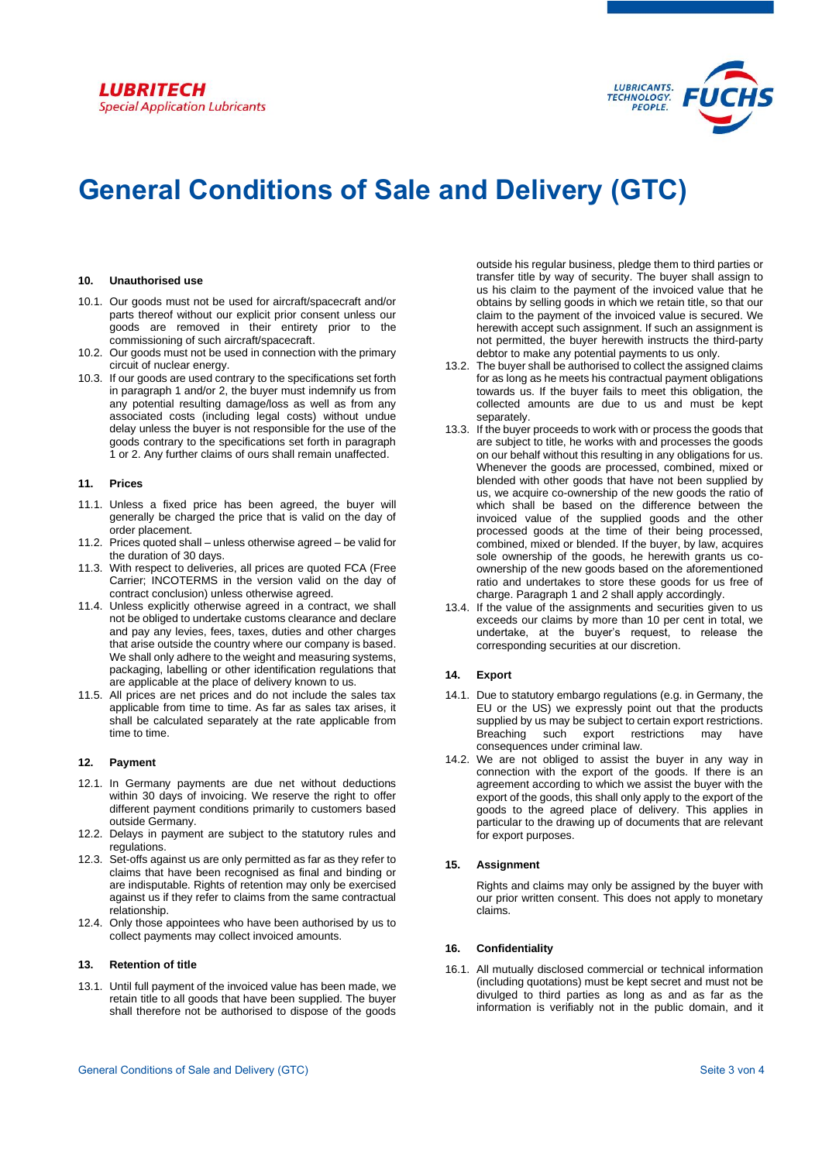# **LUBRITECH Special Application Lubricants**



# **General Conditions of Sale and Delivery (GTC)**

#### **10. Unauthorised use**

- 10.1. Our goods must not be used for aircraft/spacecraft and/or parts thereof without our explicit prior consent unless our goods are removed in their entirety prior to the commissioning of such aircraft/spacecraft.
- 10.2. Our goods must not be used in connection with the primary circuit of nuclear energy.
- 10.3. If our goods are used contrary to the specifications set forth in paragraph 1 and/or 2, the buyer must indemnify us from any potential resulting damage/loss as well as from any associated costs (including legal costs) without undue delay unless the buyer is not responsible for the use of the goods contrary to the specifications set forth in paragraph 1 or 2. Any further claims of ours shall remain unaffected.

#### **11. Prices**

- 11.1. Unless a fixed price has been agreed, the buyer will generally be charged the price that is valid on the day of order placement.
- 11.2. Prices quoted shall unless otherwise agreed be valid for the duration of 30 days.
- 11.3. With respect to deliveries, all prices are quoted FCA (Free Carrier; INCOTERMS in the version valid on the day of contract conclusion) unless otherwise agreed.
- 11.4. Unless explicitly otherwise agreed in a contract, we shall not be obliged to undertake customs clearance and declare and pay any levies, fees, taxes, duties and other charges that arise outside the country where our company is based. We shall only adhere to the weight and measuring systems, packaging, labelling or other identification regulations that are applicable at the place of delivery known to us.
- 11.5. All prices are net prices and do not include the sales tax applicable from time to time. As far as sales tax arises, it shall be calculated separately at the rate applicable from time to time.

# **12. Payment**

- 12.1. In Germany payments are due net without deductions within 30 days of invoicing. We reserve the right to offer different payment conditions primarily to customers based outside Germany.
- 12.2. Delays in payment are subject to the statutory rules and regulations.
- 12.3. Set-offs against us are only permitted as far as they refer to claims that have been recognised as final and binding or are indisputable. Rights of retention may only be exercised against us if they refer to claims from the same contractual relationship.
- 12.4. Only those appointees who have been authorised by us to collect payments may collect invoiced amounts.

# **13. Retention of title**

13.1. Until full payment of the invoiced value has been made, we retain title to all goods that have been supplied. The buyer shall therefore not be authorised to dispose of the goods outside his regular business, pledge them to third parties or transfer title by way of security. The buyer shall assign to us his claim to the payment of the invoiced value that he obtains by selling goods in which we retain title, so that our claim to the payment of the invoiced value is secured. We herewith accept such assignment. If such an assignment is not permitted, the buyer herewith instructs the third-party debtor to make any potential payments to us only.

- 13.2. The buyer shall be authorised to collect the assigned claims for as long as he meets his contractual payment obligations towards us. If the buyer fails to meet this obligation, the collected amounts are due to us and must be kept separately.
- 13.3. If the buyer proceeds to work with or process the goods that are subject to title, he works with and processes the goods on our behalf without this resulting in any obligations for us. Whenever the goods are processed, combined, mixed or blended with other goods that have not been supplied by us, we acquire co-ownership of the new goods the ratio of which shall be based on the difference between the invoiced value of the supplied goods and the other processed goods at the time of their being processed, combined, mixed or blended. If the buyer, by law, acquires sole ownership of the goods, he herewith grants us coownership of the new goods based on the aforementioned ratio and undertakes to store these goods for us free of charge. Paragraph 1 and 2 shall apply accordingly.
- 13.4. If the value of the assignments and securities given to us exceeds our claims by more than 10 per cent in total, we undertake, at the buyer's request, to release the corresponding securities at our discretion.

# **14. Export**

- 14.1. Due to statutory embargo regulations (e.g. in Germany, the EU or the US) we expressly point out that the products supplied by us may be subject to certain export restrictions. Breaching such export restrictions may have consequences under criminal law.
- 14.2. We are not obliged to assist the buyer in any way in connection with the export of the goods. If there is an agreement according to which we assist the buyer with the export of the goods, this shall only apply to the export of the goods to the agreed place of delivery. This applies in particular to the drawing up of documents that are relevant for export purposes.

# **15. Assignment**

Rights and claims may only be assigned by the buyer with our prior written consent. This does not apply to monetary claims.

#### **16. Confidentiality**

16.1. All mutually disclosed commercial or technical information (including quotations) must be kept secret and must not be divulged to third parties as long as and as far as the information is verifiably not in the public domain, and it